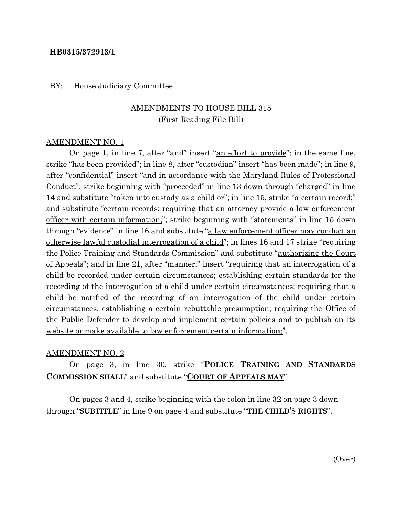### **HB0315/372913/1**

### BY: House Judiciary Committee

## AMENDMENTS TO HOUSE BILL 315 (First Reading File Bill)

#### AMENDMENT NO. 1

On page 1, in line 7, after "and" insert "an effort to provide"; in the same line, strike "has been provided"; in line 8, after "custodian" insert "has been made"; in line 9, after "confidential" insert "and in accordance with the Maryland Rules of Professional Conduct"; strike beginning with "proceeded" in line 13 down through "charged" in line 14 and substitute "taken into custody as a child or"; in line 15, strike "a certain record;" and substitute "certain records; requiring that an attorney provide a law enforcement officer with certain information;"; strike beginning with "statements" in line 15 down through "evidence" in line 16 and substitute "a law enforcement officer may conduct an otherwise lawful custodial interrogation of a child"; in lines 16 and 17 strike "requiring the Police Training and Standards Commission" and substitute "authorizing the Court of Appeals"; and in line 21, after "manner;" insert "requiring that an interrogation of a child be recorded under certain circumstances; establishing certain standards for the recording of the interrogation of a child under certain circumstances; requiring that a child be notified of the recording of an interrogation of the child under certain circumstances; establishing a certain rebuttable presumption; requiring the Office of the Public Defender to develop and implement certain policies and to publish on its website or make available to law enforcement certain information;".

### AMENDMENT NO. 2

On page 3, in line 30, strike "**POLICE TRAINING AND STANDARDS COMMISSION SHALL**" and substitute "**COURT OF APPEALS MAY**".

On pages 3 and 4, strike beginning with the colon in line 32 on page 3 down through "**SUBTITLE**" in line 9 on page 4 and substitute "**THE CHILD'S RIGHTS**".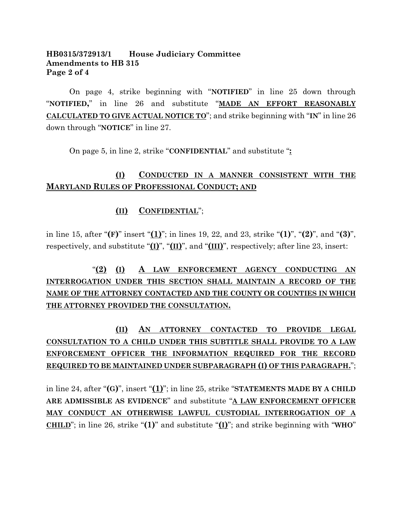## **HB0315/372913/1 House Judiciary Committee Amendments to HB 315 Page 2 of 4**

On page 4, strike beginning with "**NOTIFIED**" in line 25 down through "**NOTIFIED,**" in line 26 and substitute "**MADE AN EFFORT REASONABLY CALCULATED TO GIVE ACTUAL NOTICE TO**"; and strike beginning with "**IN**" in line 26 down through "**NOTICE**" in line 27.

On page 5, in line 2, strike "**CONFIDENTIAL**" and substitute "**:**

## **(I) CONDUCTED IN A MANNER CONSISTENT WITH THE MARYLAND RULES OF PROFESSIONAL CONDUCT; AND**

## **(II) CONFIDENTIAL**";

in line 15, after "**(F)**" insert "**(1)**"; in lines 19, 22, and 23, strike "**(1)**", "**(2)**", and "**(3)**", respectively, and substitute "**(I)**", "**(II)**", and "**(III)**", respectively; after line 23, insert:

# "**(2) (I) A LAW ENFORCEMENT AGENCY CONDUCTING AN INTERROGATION UNDER THIS SECTION SHALL MAINTAIN A RECORD OF THE NAME OF THE ATTORNEY CONTACTED AND THE COUNTY OR COUNTIES IN WHICH THE ATTORNEY PROVIDED THE CONSULTATION.**

# **(II) AN ATTORNEY CONTACTED TO PROVIDE LEGAL CONSULTATION TO A CHILD UNDER THIS SUBTITLE SHALL PROVIDE TO A LAW ENFORCEMENT OFFICER THE INFORMATION REQUIRED FOR THE RECORD REQUIRED TO BE MAINTAINED UNDER SUBPARAGRAPH (I) OF THIS PARAGRAPH.**";

in line 24, after "**(G)**", insert "**(1)**"; in line 25, strike "**STATEMENTS MADE BY A CHILD ARE ADMISSIBLE AS EVIDENCE**" and substitute "**A LAW ENFORCEMENT OFFICER MAY CONDUCT AN OTHERWISE LAWFUL CUSTODIAL INTERROGATION OF A CHILD**"; in line 26, strike "**(1)**" and substitute "**(I)**"; and strike beginning with "**WHO**"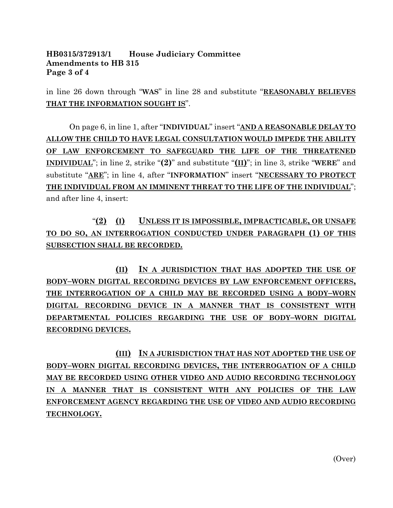### **HB0315/372913/1 House Judiciary Committee Amendments to HB 315 Page 3 of 4**

in line 26 down through "**WAS**" in line 28 and substitute "**REASONABLY BELIEVES THAT THE INFORMATION SOUGHT IS**".

On page 6, in line 1, after "**INDIVIDUAL**" insert "**AND A REASONABLE DELAY TO ALLOW THE CHILD TO HAVE LEGAL CONSULTATION WOULD IMPEDE THE ABILITY OF LAW ENFORCEMENT TO SAFEGUARD THE LIFE OF THE THREATENED INDIVIDUAL**"; in line 2, strike "**(2)**" and substitute "**(II)**"; in line 3, strike "**WERE**" and substitute "**ARE**"; in line 4, after "**INFORMATION**" insert "**NECESSARY TO PROTECT THE INDIVIDUAL FROM AN IMMINENT THREAT TO THE LIFE OF THE INDIVIDUAL**"; and after line 4, insert:

"**(2) (I) UNLESS IT IS IMPOSSIBLE, IMPRACTICABLE, OR UNSAFE TO DO SO, AN INTERROGATION CONDUCTED UNDER PARAGRAPH (1) OF THIS SUBSECTION SHALL BE RECORDED.**

**(II) IN A JURISDICTION THAT HAS ADOPTED THE USE OF BODY–WORN DIGITAL RECORDING DEVICES BY LAW ENFORCEMENT OFFICERS, THE INTERROGATION OF A CHILD MAY BE RECORDED USING A BODY–WORN DIGITAL RECORDING DEVICE IN A MANNER THAT IS CONSISTENT WITH DEPARTMENTAL POLICIES REGARDING THE USE OF BODY–WORN DIGITAL RECORDING DEVICES.**

**(III) IN A JURISDICTION THAT HAS NOT ADOPTED THE USE OF BODY–WORN DIGITAL RECORDING DEVICES, THE INTERROGATION OF A CHILD MAY BE RECORDED USING OTHER VIDEO AND AUDIO RECORDING TECHNOLOGY IN A MANNER THAT IS CONSISTENT WITH ANY POLICIES OF THE LAW ENFORCEMENT AGENCY REGARDING THE USE OF VIDEO AND AUDIO RECORDING TECHNOLOGY.**